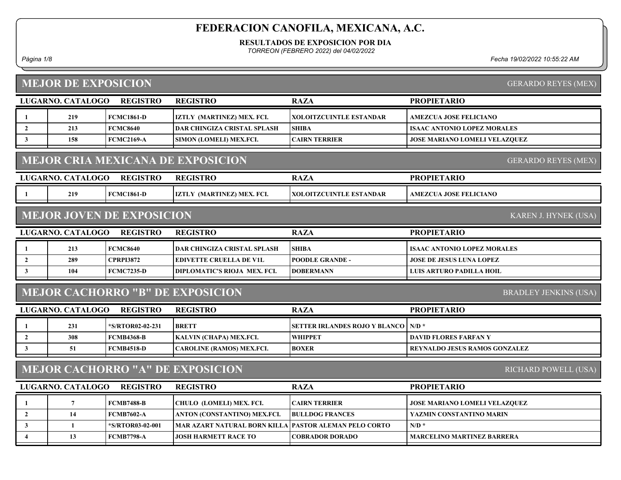RESULTADOS DE EXPOSICION POR DIA

TORREON (FEBRERO 2022) del 04/02/2022

Página 1/8 Fecha 19/02/2022 10:55:22 AM

# MEJOR DE EXPOSICION

GERARDO REYES (MEX)

|                                                                 | LUGARNO. CATALOGO | <b>REGISTRO</b>                  | <b>REGISTRO</b>                          | <b>RAZA</b>                    | <b>PROPIETARIO</b>                   |  |
|-----------------------------------------------------------------|-------------------|----------------------------------|------------------------------------------|--------------------------------|--------------------------------------|--|
|                                                                 | 219               | <b>FCMC1861-D</b>                | IZTLY (MARTINEZ) MEX. FCI.               | <b>XOLOITZCUINTLE ESTANDAR</b> | <b>AMEZCUA JOSE FELICIANO</b>        |  |
| $\overline{2}$                                                  | 213               | <b>FCMC8640</b>                  | DAR CHINGIZA CRISTAL SPLASH              | <b>SHIBA</b>                   | <b>ISAAC ANTONIO LOPEZ MORALES</b>   |  |
| 3                                                               | 158               | <b>FCMC2169-A</b>                | SIMON (LOMELI) MEX.FCI.                  | <b>CAIRN TERRIER</b>           | <b>JOSE MARIANO LOMELI VELAZQUEZ</b> |  |
|                                                                 |                   |                                  | <b>MEJOR CRIA MEXICANA DE EXPOSICION</b> |                                | <b>GERARDO REYES (MEX)</b>           |  |
|                                                                 | LUGARNO. CATALOGO | <b>REGISTRO</b>                  | <b>REGISTRO</b>                          | <b>RAZA</b>                    | <b>PROPIETARIO</b>                   |  |
|                                                                 | 219               | <b>FCMC1861-D</b>                | IZTLY (MARTINEZ) MEX. FCI.               | <b>XOLOITZCUINTLE ESTANDAR</b> | <b>AMEZCUA JOSE FELICIANO</b>        |  |
|                                                                 |                   | <b>MEJOR JOVEN DE EXPOSICION</b> |                                          |                                | KAREN J. HYNEK (USA)                 |  |
|                                                                 | LUGARNO. CATALOGO | <b>REGISTRO</b>                  | <b>REGISTRO</b>                          | <b>RAZA</b>                    | <b>PROPIETARIO</b>                   |  |
|                                                                 | 213               | <b>FCMC8640</b>                  | DAR CHINGIZA CRISTAL SPLASH              | <b>SHIBA</b>                   | <b>ISAAC ANTONIO LOPEZ MORALES</b>   |  |
| $\overline{2}$                                                  | 289               | <b>CPRPI3872</b>                 | <b>EDIVETTE CRUELLA DE V1L</b>           | <b>POODLE GRANDE -</b>         | JOSE DE JESUS LUNA LOPEZ             |  |
| 3                                                               | 104               | <b>FCMC7235-D</b>                | DIPLOMATIC'S RIOJA MEX. FCI.             | <b>DOBERMANN</b>               | LUIS ARTURO PADILLA HOIL             |  |
|                                                                 |                   |                                  | <b>MEJOR CACHORRO "B" DE EXPOSICION</b>  |                                | <b>BRADLEY JENKINS (USA)</b>         |  |
|                                                                 | LUGARNO. CATALOGO | <b>REGISTRO</b>                  | <b>REGISTRO</b>                          | <b>RAZA</b>                    | <b>PROPIETARIO</b>                   |  |
|                                                                 | 231               | *S/RTOR02-02-231                 | <b>BRETT</b>                             | SETTER IRLANDES ROJO Y BLANCO  | $N/D$ *                              |  |
| $\overline{2}$                                                  | 308               | <b>FCMB4368-B</b>                | KALVIN (CHAPA) MEX.FCI.                  | <b>WHIPPET</b>                 | <b>DAVID FLORES FARFAN Y</b>         |  |
| 3                                                               | 51                | <b>FCMB4518-D</b>                | <b>CAROLINE (RAMOS) MEX.FCI.</b>         | <b>BOXER</b>                   | <b>REYNALDO JESUS RAMOS GONZALEZ</b> |  |
| <b>MEJOR CACHORRO "A" DE EXPOSICION</b><br>RICHARD POWELL (USA) |                   |                                  |                                          |                                |                                      |  |
|                                                                 | LUGARNO. CATALOGO | <b>REGISTRO</b>                  | <b>REGISTRO</b>                          | <b>RAZA</b>                    | <b>PROPIETARIO</b>                   |  |
| -1                                                              | $\overline{7}$    | <b>FCMB7488-B</b>                | CHULO (LOMELI) MEX. FCI.                 | <b>CAIRN TERRIER</b>           | JOSE MARIANO LOMELI VELAZQUEZ        |  |
| $\overline{2}$                                                  | 14                | <b>FCMB7602-A</b>                | ANTON (CONSTANTINO) MEX.FCI.             | <b>BULLDOG FRANCES</b>         | YAZMIN CONSTANTINO MARIN             |  |
| 3                                                               | 1                 | *S/RTOR03-02-001                 | <b>MAR AZART NATURAL BORN KILLA</b>      | PASTOR ALEMAN PELO CORTO       | $N/D$ *                              |  |
| $\overline{\mathbf{4}}$                                         | 13                | <b>FCMB7798-A</b>                | <b>JOSH HARMETT RACE TO</b>              | <b>COBRADOR DORADO</b>         | <b>MARCELINO MARTINEZ BARRERA</b>    |  |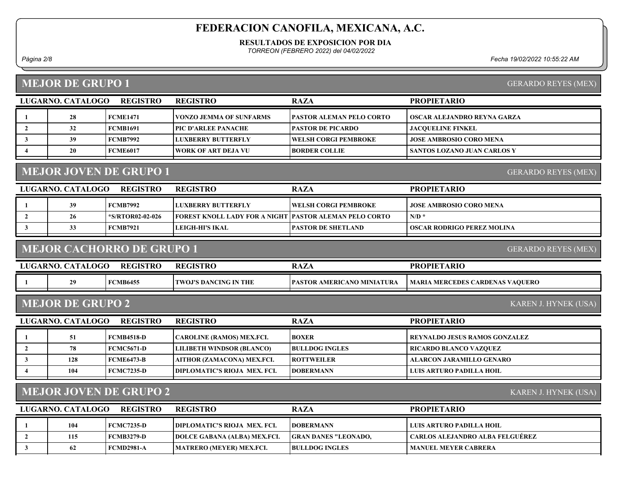#### RESULTADOS DE EXPOSICION POR DIA

TORREON (FEBRERO 2022) del 04/02/2022

1 28 FCME1471 VONZO JEMMA OF SUNFARMS PASTOR ALEMAN PELO CORTO OSCAR ALEJANDRO REYNA GARZA

 3 39 FCMB7992 LUXBERRY BUTTERFLY JOSE AMBROSIO CORO MENA WELSH CORGI PEMBROKE 4 20 FCME6017 WORK OF ART DEJA VU BORDER COLLIE SANTOS LOZANO JUAN CARLOS Y

2 32 FCMB1691 PIC D'ARLEE PANACHE PASTOR DE PICARDO JACQUELINE FINKEL

Página 2/8 Fecha 19/02/2022 10:55:22 AM

PROPIETARIO

### MEJOR DE GRUPO 1

GERARDO REYES (MEX)

# MEJOR JOVEN DE GRUPO 1

| LUGARNO. CATALOGO | REGISTRO         | <b>REGISTRO</b>                                               | <b>RAZA</b>          | <b>PROPIETARIO</b>                |
|-------------------|------------------|---------------------------------------------------------------|----------------------|-----------------------------------|
| 39                | <b>FCMB7992</b>  | LUXBERRY BUTTERFLY                                            | WELSH CORGI PEMBROKE | <b>JOSE AMBROSIO CORO MENA</b>    |
| 26                | *S/RTOR02-02-026 | <b>FOREST KNOLL LADY FOR A NIGHT PASTOR ALEMAN PELO CORTO</b> |                      | $N/D$ *                           |
| 33                | <b>FCMB7921</b>  | LEIGH-HI'S IKAL                                               | PASTOR DE SHETLAND_  | <b>OSCAR RODRIGO PEREZ MOLINA</b> |

### MEJOR CACHORRO DE GRUPO 1

LUGARNO. CATALOGO REGISTRO RAZA

REGISTRO

| 20<br>CANO MINIATURA<br><b>TWOJ'S DANCING IN THE</b><br>MB6455:<br><b>AMERIC</b><br>  MARIA MERCEDES CARDENAS VAQUERO<br>PASTOR | LUGARNO. CATALOGO | <b>REGISTRO</b> | REGISTRC | $\mathbf{D} \wedge \mathbf{Z}$<br>KA <i>LA</i> | <b>PROPIETARIO</b> |
|---------------------------------------------------------------------------------------------------------------------------------|-------------------|-----------------|----------|------------------------------------------------|--------------------|
|                                                                                                                                 |                   |                 |          |                                                |                    |

### MEJOR DE GRUPO 2

LUGARNO. CATALOGO REGISTRO RAZA PROPIETARIO REGISTRO 1 51 FCMB4518-D CAROLINE (RAMOS) MEX.FCI. BOXER REYNALDO JESUS RAMOS GONZALEZ 2 | 78 | FCMC5671-D LILIBETH WINDSOR (BLANCO) | BULLDOG INGLES | RICARDO BLANCO VAZQUEZ 3 | 128 FCME6473-B AITHOR (ZAMACONA) MEX.FCI. | ROTTWEILER | ALARCON JARAMILLO GENARO 4 104 FCMC7235-D DIPLOMATIC'S RIOJA MEX. FCI. | DOBERMANN | LUIS ARTURO PADILLA HOIL

### MEJOR JOVEN DE GRUPO 2

KAREN J. HYNEK (USA)

| LUGARNO. CATALOGO | <b>REGISTRO</b>   | <b>REGISTRO</b>                     | <b>RAZA</b>                 | <b>PROPIETARIO</b>              |
|-------------------|-------------------|-------------------------------------|-----------------------------|---------------------------------|
| 104               | FCMC7235-D        | <b>IDIPLOMATIC'S RIOJA MEX. FCL</b> | <b>IDOBERMANN</b>           | ULUIS ARTURO PADILLA HOIL       |
| 115               | FCMB3279-D        | <b>DOLCE GABANA (ALBA) MEX.FCI.</b> | <b>GRAN DANES "LEONADO.</b> | CARLOS ALEJANDRO ALBA FELGUEREZ |
| 62                | <b>FCMD2981-A</b> | MATRERO (MEYER) MEX.FCI.            | <b>BULLDOG INGLES</b>       | <b>MANUEL MEYER CABRERA</b>     |

GERARDO REYES (MEX)

KAREN J. HYNEK (USA)

GERARDO REYES (MEX)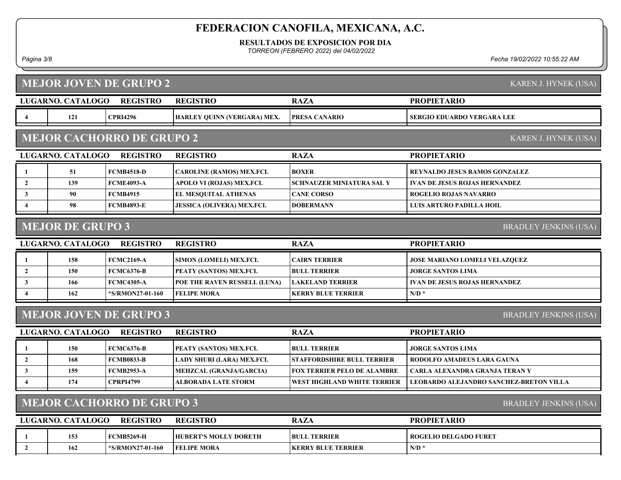RESULTADOS DE EXPOSICION POR DIA

TORREON (FEBRERO 2022) del 04/02/2022

Página 3/8 Fecha 19/02/2022 10:55:22 AM

LUGARNO. CATALOGO REGISTRO RAZA MEJOR JOVEN DE GRUPO 2 PROPIETARIO KAREN J. HYNEK (USA) REGISTRO 4 | 121 | CPRI4296 | HARLEY QUINN (VERGARA) MEX. | PRESA CANARIO | SERGIO EDUARDO VERGARA LEE LUGARNO. CATALOGO REGISTRO RAZA MEJOR CACHORRO DE GRUPO 2 PROPIETARIO KAREN J. HYNEK (USA) REGISTRO 1 51 FCMB4518-D CAROLINE (RAMOS) MEX.FCI. BOXER REYNALDO JESUS RAMOS GONZALEZ 2 139 FCME4093-A APOLO VI (ROJAS) MEX.FCI. SCHNAUZER MINIATURA SAL Y VAN DE JESUS ROJAS HERNANDEZ 3 90 FCMB4915 EL MESQUITAL ATHENAS CANE CORSO ROGELIO ROJAS NAVARRO 4 98 FCMB4893-E JESSICA (OLIVERA) MEX.FCI. DOBERMANN LUIS ARTURO PADILLA HOIL LUGARNO. CATALOGO REGISTRO RAZA MEJOR DE GRUPO 3 PROPIETARIO BRADLEY JENKINS (USA) REGISTRO 1 158 FCMC2169-A SIMON (LOMELI) MEX.FCI. CAIRN TERRIER JOSE MARIANO LOMELI VELAZQUEZ 2 | 150 FCMC6376-B PEATY (SANTOS) MEX.FCI. BULL TERRIER | JORGE SANTOS LIMA 3 166 FCMC4305-A POE THE RAVEN RUSSELL (LUNA) LAKELAND TERRIER VAN DE JESUS ROJAS HERNANDEZ 4 162 **FS/RMON27-01-160** FELIPE MORA NEERRY BLUE TERRIER N/D \* LUGARNO. CATALOGO REGISTRO REGISTRO NAZA MEJOR JOVEN DE GRUPO 3 PROPIETARIO BRADLEY JENKINS (USA) REGISTRO 1 150 FCMC6376-B PEATY (SANTOS) MEX.FCI. BULL TERRIER JORGE SANTOS LIMA 2 | 168 FCMB0833-B LADY SHURI (LARA) MEX.FCI. STAFFORDSHIRE BULL TERRIER RODOLFO AMADEUS LARA GAUNA 3 159 FCMB2953-A MEHZCAL (GRANJA/GARCIA) FOX TERRIER PELO DE ALAMBRE | CARLA ALEXANDRA GRANJA TERAN Y 4 174 CPRPI4799 ALBORADA LATE STORM WEST HIGHLAND WHITE TERRIER LEOBARDO ALEJANDRO SANCHEZ-BRETON VILLA LUGARNO. CATALOGO REGISTRO RAZA MEJOR CACHORRO DE GRUPO 3 PROPIETARIO BRADLEY JENKINS (USA) REGISTRO 1 153 FCMB5269-H HUBERT'S MOLLY DORETH BULL TERRIER ROGELIO DELGADO FURET 2 162 \*S/RMON27-01-160 FELIPE MORA N/D \* KERRY BLUE TERRIER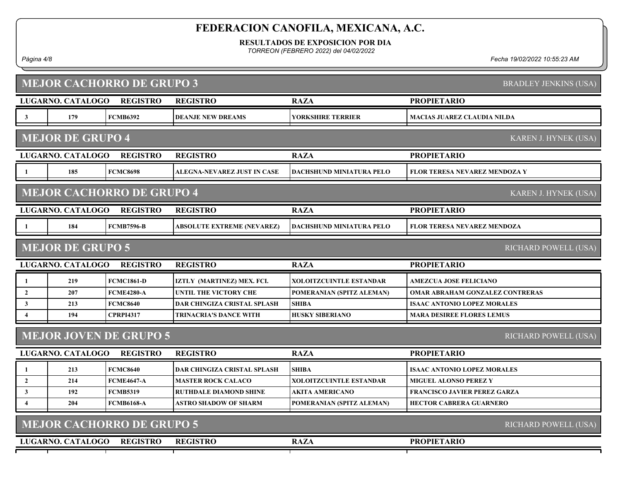RESULTADOS DE EXPOSICION POR DIA

TORREON (FEBRERO 2022) del 04/02/2022

Página 4/8 Fecha 19/02/2022 10:55:23 AM

| <b>MEJOR CACHORRO DE GRUPO 3</b><br><b>BRADLEY JENKINS (USA)</b> |                                                          |                                  |                                    |                                 |                                        |  |
|------------------------------------------------------------------|----------------------------------------------------------|----------------------------------|------------------------------------|---------------------------------|----------------------------------------|--|
|                                                                  | LUGARNO. CATALOGO                                        | <b>REGISTRO</b>                  | <b>REGISTRO</b>                    | <b>RAZA</b>                     | <b>PROPIETARIO</b>                     |  |
| $\mathbf{3}$                                                     | 179                                                      | <b>FCMB6392</b>                  | <b>DEANJE NEW DREAMS</b>           | <b>YORKSHIRE TERRIER</b>        | <b>MACIAS JUAREZ CLAUDIA NILDA</b>     |  |
|                                                                  | <b>MEJOR DE GRUPO 4</b>                                  |                                  |                                    |                                 | KAREN J. HYNEK (USA)                   |  |
|                                                                  | LUGARNO. CATALOGO                                        | <b>REGISTRO</b>                  | <b>REGISTRO</b>                    | <b>RAZA</b>                     | <b>PROPIETARIO</b>                     |  |
| -1                                                               | 185                                                      | <b>FCMC8698</b>                  | ALEGNA-NEVAREZ JUST IN CASE        | <b>DACHSHUND MINIATURA PELO</b> | <b>FLOR TERESA NEVAREZ MENDOZA Y</b>   |  |
|                                                                  |                                                          | <b>MEJOR CACHORRO DE GRUPO 4</b> |                                    |                                 | KAREN J. HYNEK (USA)                   |  |
|                                                                  | LUGARNO. CATALOGO                                        | <b>REGISTRO</b>                  | <b>REGISTRO</b>                    | <b>RAZA</b>                     | <b>PROPIETARIO</b>                     |  |
| -1                                                               | 184                                                      | <b>FCMB7596-B</b>                | <b>ABSOLUTE EXTREME (NEVAREZ)</b>  | <b>DACHSHUND MINIATURA PELO</b> | FLOR TERESA NEVAREZ MENDOZA            |  |
|                                                                  | <b>MEJOR DE GRUPO 5</b>                                  |                                  |                                    |                                 | RICHARD POWELL (USA)                   |  |
|                                                                  | LUGARNO. CATALOGO                                        | <b>REGISTRO</b>                  | <b>REGISTRO</b>                    | <b>RAZA</b>                     | <b>PROPIETARIO</b>                     |  |
| 1                                                                | 219                                                      | <b>FCMC1861-D</b>                | IZTLY (MARTINEZ) MEX. FCI.         | XOLOITZCUINTLE ESTANDAR         | <b>AMEZCUA JOSE FELICIANO</b>          |  |
| $\mathbf{2}$                                                     | 207                                                      | <b>FCME4280-A</b>                | <b>UNTIL THE VICTORY CHE</b>       | POMERANIAN (SPITZ ALEMAN)       | <b>OMAR ABRAHAM GONZALEZ CONTRERAS</b> |  |
| $\mathbf{3}$                                                     | 213                                                      | <b>FCMC8640</b>                  | <b>DAR CHINGIZA CRISTAL SPLASH</b> | <b>SHIBA</b>                    | <b>ISAAC ANTONIO LOPEZ MORALES</b>     |  |
| 4                                                                | 194                                                      | <b>CPRPI4317</b>                 | <b>TRINACRIA'S DANCE WITH</b>      | <b>HUSKY SIBERIANO</b>          | <b>MARA DESIREE FLORES LEMUS</b>       |  |
|                                                                  |                                                          | <b>MEJOR JOVEN DE GRUPO 5</b>    |                                    |                                 | RICHARD POWELL (USA)                   |  |
|                                                                  | LUGARNO. CATALOGO                                        | <b>REGISTRO</b>                  | <b>REGISTRO</b>                    | <b>RAZA</b>                     | <b>PROPIETARIO</b>                     |  |
| $\mathbf{1}$                                                     | 213                                                      | <b>FCMC8640</b>                  | <b>DAR CHINGIZA CRISTAL SPLASH</b> | <b>SHIBA</b>                    | <b>ISAAC ANTONIO LOPEZ MORALES</b>     |  |
| $\overline{2}$                                                   | 214                                                      | <b>FCME4647-A</b>                | <b>MASTER ROCK CALACO</b>          | <b>XOLOITZCUINTLE ESTANDAR</b>  | <b>MIGUEL ALONSO PEREZ Y</b>           |  |
| $\mathbf{3}$                                                     | 192                                                      | <b>FCMB5319</b>                  | <b>RUTHDALE DIAMOND SHINE</b>      | <b>AKITA AMERICANO</b>          | <b>FRANCISCO JAVIER PEREZ GARZA</b>    |  |
| $\overline{\mathbf{4}}$                                          | 204                                                      | <b>FCMB6168-A</b>                | ASTRO SHADOW OF SHARM              | POMERANIAN (SPITZ ALEMAN)       | <b>HECTOR CABRERA GUARNERO</b>         |  |
|                                                                  | <b>MEJOR CACHORRO DE GRUPO 5</b><br>RICHARD POWELL (USA) |                                  |                                    |                                 |                                        |  |
|                                                                  | LUGARNO. CATALOGO                                        | <b>REGISTRO</b>                  | <b>REGISTRO</b>                    | <b>RAZA</b>                     | <b>PROPIETARIO</b>                     |  |
|                                                                  |                                                          |                                  |                                    |                                 |                                        |  |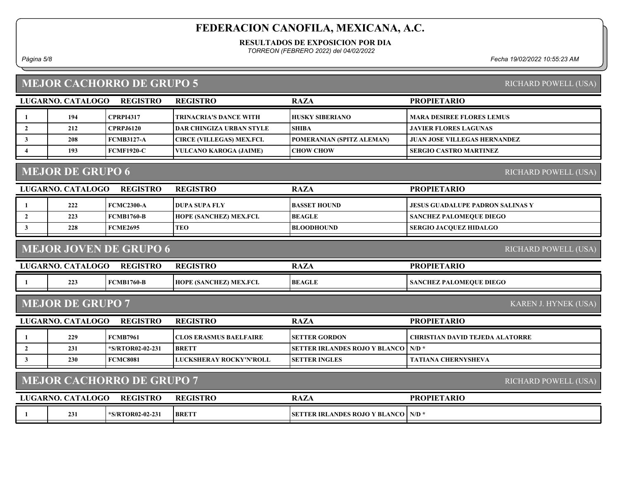#### RESULTADOS DE EXPOSICION POR DIA

TORREON (FEBRERO 2022) del 04/02/2022

Página 5/8 Fecha 19/02/2022 10:55:23 AM

# MEJOR CACHORRO DE GRUPO 5

| <b>RICHARD POWELL (USA)</b> |  |
|-----------------------------|--|
|-----------------------------|--|

|                        | LUGARNO. CATALOGO       | <b>REGISTRO</b>                  | <b>REGISTRO</b>                  | <b>RAZA</b>                          | <b>PROPIETARIO</b>                     |
|------------------------|-------------------------|----------------------------------|----------------------------------|--------------------------------------|----------------------------------------|
| $\mathbf{1}$           | 194                     | <b>CPRPI4317</b>                 | <b>TRINACRIA'S DANCE WITH</b>    | <b>HUSKY SIBERIANO</b>               | <b>MARA DESIREE FLORES LEMUS</b>       |
| $\overline{2}$         | 212                     | <b>CPRPJ6120</b>                 | <b>DAR CHINGIZA URBAN STYLE</b>  | <b>SHIBA</b>                         | <b>JAVIER FLORES LAGUNAS</b>           |
| 3                      | 208                     | <b>FCMB3127-A</b>                | <b>CIRCE (VILLEGAS) MEX.FCI.</b> | POMERANIAN (SPITZ ALEMAN)            | <b>JUAN JOSE VILLEGAS HERNANDEZ</b>    |
| $\boldsymbol{\Lambda}$ | 193                     | <b>FCMF1920-C</b>                | <b>VULCANO KAROGA (JAIME)</b>    | <b>CHOW CHOW</b>                     | <b>SERGIO CASTRO MARTINEZ</b>          |
|                        | <b>MEJOR DE GRUPO 6</b> |                                  |                                  |                                      | RICHARD POWELL (USA)                   |
|                        | LUGARNO. CATALOGO       | <b>REGISTRO</b>                  | <b>REGISTRO</b>                  | <b>RAZA</b>                          | <b>PROPIETARIO</b>                     |
|                        | 222                     | <b>FCMC2300-A</b>                | <b>DUPA SUPA FLY</b>             | <b>BASSET HOUND</b>                  | JESUS GUADALUPE PADRON SALINAS Y       |
| $\overline{2}$         | 223                     | <b>FCMB1760-B</b>                | HOPE (SANCHEZ) MEX.FCI.          | <b>BEAGLE</b>                        | <b>SANCHEZ PALOMEQUE DIEGO</b>         |
| 3                      | 228                     | <b>FCME2695</b>                  | <b>TEO</b>                       | <b>BLOODHOUND</b>                    | <b>SERGIO JACQUEZ HIDALGO</b>          |
|                        |                         | <b>MEJOR JOVEN DE GRUPO 6</b>    |                                  |                                      | RICHARD POWELL (USA)                   |
|                        |                         |                                  |                                  |                                      |                                        |
|                        | LUGARNO. CATALOGO       | <b>REGISTRO</b>                  | <b>REGISTRO</b>                  | <b>RAZA</b>                          | <b>PROPIETARIO</b>                     |
|                        | 223                     | <b>FCMB1760-B</b>                | HOPE (SANCHEZ) MEX.FCI.          | <b>BEAGLE</b>                        | <b>SANCHEZ PALOMEQUE DIEGO</b>         |
|                        | <b>MEJOR DE GRUPO 7</b> |                                  |                                  |                                      | KAREN J. HYNEK (USA)                   |
|                        | LUGARNO. CATALOGO       | <b>REGISTRO</b>                  | <b>REGISTRO</b>                  | <b>RAZA</b>                          | <b>PROPIETARIO</b>                     |
| -1                     | 229                     | <b>FCMB7961</b>                  | <b>CLOS ERASMUS BAELFAIRE</b>    | <b>SETTER GORDON</b>                 | <b>CHRISTIAN DAVID TEJEDA ALATORRE</b> |
| $\overline{2}$         | 231                     | *S/RTOR02-02-231                 | <b>BRETT</b>                     | <b>SETTER IRLANDES ROJO Y BLANCO</b> | $N/D$ *                                |
| 3                      | 230                     | <b>FCMC8081</b>                  | LUCKSHERAY ROCKY'N'ROLL          | <b>SETTER INGLES</b>                 | <b>TATIANA CHERNYSHEVA</b>             |
|                        |                         | <b>MEJOR CACHORRO DE GRUPO 7</b> |                                  |                                      | RICHARD POWELL (USA)                   |
|                        | LUGARNO. CATALOGO       | <b>REGISTRO</b>                  | <b>REGISTRO</b>                  | <b>RAZA</b>                          | <b>PROPIETARIO</b>                     |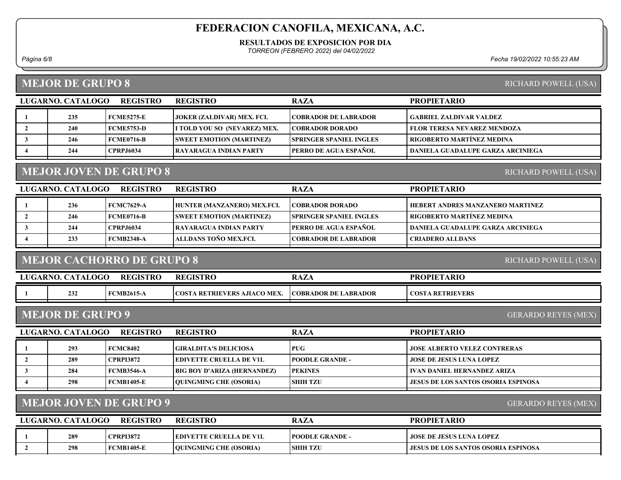#### RESULTADOS DE EXPOSICION POR DIA

TORREON (FEBRERO 2022) del 04/02/2022

Página 6/8 Fecha 19/02/2022 10:55:23 AM

### MEJOR DE GRUPO 8

| RICHARD POWELL (USA) |  |
|----------------------|--|
|                      |  |

|                                                       | LUGARNO. CATALOGO | <b>REGISTRO</b>   | <b>REGISTRO</b>                   | <b>RAZA</b>                    | <b>PROPIETARIO</b>                       |  |
|-------------------------------------------------------|-------------------|-------------------|-----------------------------------|--------------------------------|------------------------------------------|--|
|                                                       | 235               | <b>FCME5275-E</b> | <b>JOKER (ZALDIVAR) MEX. FCI.</b> | <b>COBRADOR DE LABRADOR</b>    | <b>GABRIEL ZALDIVAR VALDEZ</b>           |  |
|                                                       | 240               | <b>FCME5753-D</b> | I TOLD YOU SO (NEVAREZ) MEX.      | <b>COBRADOR DORADO</b>         | <b>FLOR TERESA NEVAREZ MENDOZA</b>       |  |
|                                                       | 246               | <b>FCME0716-B</b> | <b>SWEET EMOTION (MARTINEZ)</b>   | <b>SPRINGER SPANIEL INGLES</b> | <b>RIGOBERTO MARTÍNEZ MEDINA</b>         |  |
|                                                       | 244               | <b>CPRPJ6034</b>  | RAYARAGUA INDIAN PARTY            | <b>PERRO DE AGUA ESPAÑOL</b>   | <b>DANIELA GUADALUPE GARZA ARCINIEGA</b> |  |
|                                                       |                   |                   |                                   |                                |                                          |  |
| <b>MEJOR JOVEN DE GRUPO 8</b><br>RICHARD POWELL (USA) |                   |                   |                                   |                                |                                          |  |
|                                                       | LUGARNO. CATALOGO | <b>REGISTRO</b>   | <b>REGISTRO</b>                   | <b>RAZA</b>                    | <b>PROPIETARIO</b>                       |  |
|                                                       |                   |                   |                                   |                                |                                          |  |

| 236 | FCMC7629-A        | HUNTER (MANZANERO) MEX.FCI.     | <b>COBRADOR DORADO</b>          | HEBERT ANDRES MANZANERO MARTINEZ  |
|-----|-------------------|---------------------------------|---------------------------------|-----------------------------------|
| 246 | FCME0716-B        | <b>SWEET EMOTION (MARTINEZ)</b> | <b>ISPRINGER SPANIEL INGLES</b> | RIGOBERTO MARTINEZ MEDINA_        |
| 244 | <b>CPRPJ6034</b>  | <b>TRAYARAGUA INDIAN PARTY</b>  | <b>TPERRO DE AGUA ESPAÑOL</b>   | DANIELA GUADALUPE GARZA ARCINIEGA |
| 233 | <b>FCMB2348-A</b> | <b>TALLDANS TOÑO MEX.FCL</b>    | <b>COBRADOR DE LABRADOR</b>     | CRIADERO ALLDANS                  |
|     |                   |                                 |                                 |                                   |

### MEJOR CACHORRO DE GRUPO 8

RICHARD POWELL (USA)

| LUGARNO. CATALOGO                                     | <b>REGISTRO</b>   | <b>REGISTRO</b>                     | <b>RAZA</b>                  | <b>PROPIETARIO</b>      |  |  |
|-------------------------------------------------------|-------------------|-------------------------------------|------------------------------|-------------------------|--|--|
| 232                                                   | <b>FCMB2615-A</b> | <b>COSTA RETRIEVERS AJIACO MEX.</b> | <b>ICOBRADOR DE LABRADOR</b> | <b>COSTA RETRIEVERS</b> |  |  |
| <b>MEJOR DE GRUPO 9</b><br><b>GERARDO REYES (MEX)</b> |                   |                                     |                              |                         |  |  |

| LUGARNO. CATALOGO | <b>REGISTRO</b>   | <b>REGISTRO</b>                    | <b>RAZA</b>            | <b>PROPIETARIO</b>                         |
|-------------------|-------------------|------------------------------------|------------------------|--------------------------------------------|
| 293               | <b>FCMC8402</b>   | <b>GIRALDITA'S DELICIOSA</b>       | <b>PUG</b>             | <b>JOSE ALBERTO VELEZ CONTRERAS</b>        |
| 289               | <b>CPRPI3872</b>  | <b>IEDIVETTE CRUELLA DE V1L</b>    | <b>POODLE GRANDE -</b> | <b>JOSE DE JESUS LUNA LOPEZ</b>            |
| 284               | <b>FCMB3546-A</b> | <b>BIG BOY D'ARIZA (HERNANDEZ)</b> | <b>PEKINES</b>         | IVAN DANIEL HERNANDEZ ARIZA                |
| 298               | <b>FCMB1405-E</b> | <b>OUINGMING CHE (OSORIA)</b>      | <b>SHIH TZU</b>        | <b>JESUS DE LOS SANTOS OSORIA ESPINOSA</b> |
|                   |                   |                                    |                        |                                            |

## MEJOR JOVEN DE GRUPO 9

GERARDO REYES (MEX)

| LUGARNO, CATALOGO<br><b>REGISTRO</b> |     |                   | <b>REGISTRO</b>                 | <b>RAZA</b>            | <b>PROPIETARIO</b>                         |
|--------------------------------------|-----|-------------------|---------------------------------|------------------------|--------------------------------------------|
|                                      | 289 | <b>CPRPI3872</b>  | <b>TEDIVETTE CRUELLA DE V1L</b> | <b>POODLE GRANDE -</b> | JOSE DE JESUS LUNA LOPEZ                   |
|                                      | 298 | <b>FCMB1405-E</b> | <b>OUINGMING CHE (OSORIA)</b>   | <b>SHIH TZU</b>        | <b>JESUS DE LOS SANTOS OSORIA ESPINOSA</b> |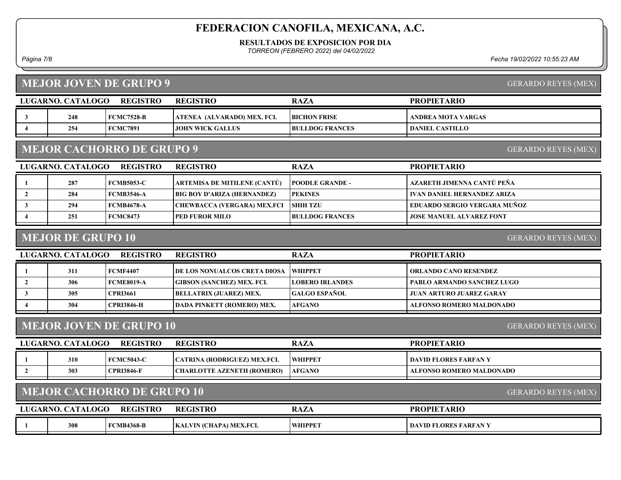#### RESULTADOS DE EXPOSICION POR DIA

TORREON (FEBRERO 2022) del 04/02/2022

Página 7/8 Fecha 19/02/2022 10:55:23 AM

GERARDO REYES (MEX)

GERARDO REYES (MEX)

PROPIETARIO

| <b>MEJOR JOVEN DE GRUPO 9</b> |          |                 |      |
|-------------------------------|----------|-----------------|------|
|                               |          |                 |      |
|                               |          |                 | RAZA |
| LUGARNO, CATALOGO             | REGISTRO | <b>REGISTRO</b> |      |

| <b>FCMC7891</b><br>254<br><b>BULLDOG FRANCES</b><br>  DANIEL CASTILLO_<br><b>JOHN WICK GALLUS</b> | 248 | <b>FCMC7528-B</b> | <b>ATENEA (ALVARADO) MEX. FCI.</b> | <b>BICHON FRISE</b> | ANDREA MOTA VARGAS |
|---------------------------------------------------------------------------------------------------|-----|-------------------|------------------------------------|---------------------|--------------------|
|                                                                                                   |     |                   |                                    |                     |                    |
|                                                                                                   |     |                   |                                    |                     |                    |

### MEJOR CACHORRO DE GRUPO 9

| LUGARNO. CATALOGO | <b>REGISTRO</b>   | <b>REGISTRO</b>                     | <b>RAZA</b>            | <b>PROPIETARIO</b>                  |
|-------------------|-------------------|-------------------------------------|------------------------|-------------------------------------|
| 287               | <b>FCMB5053-C</b> | <b>ARTEMISA DE MITILENE (CANTÚ)</b> | <b>POODLE GRANDE -</b> | AZARETH JIMENNA CANTÚ PEÑA          |
| 284               | <b>FCMB3546-A</b> | <b>BIG BOY D'ARIZA (HERNANDEZ)</b>  | <b>PEKINES</b>         | IVAN DANIEL HERNANDEZ ARIZA         |
| 294               | <b>FCMB4678-A</b> | CHEWBACCA (VERGARA) MEX.FCI         | <b>SHIH TZU</b>        | <b>EDUARDO SERGIO VERGARA MUÑOZ</b> |
| 251               | <b>FCMC8473</b>   | <b>  PED FUROR MILO</b>             | <b>BULLDOG FRANCES</b> | <b>JOSE MANUEL ALVAREZ FONT</b>     |

### MEJOR DE GRUPO 10

GERARDO REYES (MEX)

| LUGARNO. CATALOGO | <b>REGISTRO</b>   | <b>REGISTRO</b>                     | <b>RAZA</b>                  | <b>PROPIETARIO</b>                |
|-------------------|-------------------|-------------------------------------|------------------------------|-----------------------------------|
| 311               | <b>FCMF4407</b>   | <b>DE LOS NONUALCOS CRETA DIOSA</b> | <b>SEAT EXPLORER THE PET</b> | <b>ORLANDO CANO RESENDEZ</b>      |
| 306               | FCME8019-A        | <b>GIBSON (SANCHEZ) MEX. FCI.</b>   | <b>LOBERO IRLANDES</b>       | <b>PABLO ARMANDO SANCHEZ LUGO</b> |
| 305               | <b>CPRI3661</b>   | <b>BELLATRIX (JUAREZ) MEX.</b>      | <b>GALGO ESPAÑOL</b>         | <b>JUAN ARTURO JUAREZ GARAY</b>   |
| 304               | <b>CPRI3846-H</b> | <b>DADA PINKETT (ROMERO) MEX.</b>   | <b>AFGANO</b>                | <b>ALFONSO ROMERO MALDONADO</b>   |
|                   |                   |                                     |                              |                                   |

### MEJOR JOVEN DE GRUPO 10

GERARDO REYES (MEX)

GERARDO REYES (MEX)

| LUGARNO. CATALOGO | <b>REGISTRO</b>   | <b>REGISTRO</b>                     | RAZA           | <b>PROPIETARIO</b>       |
|-------------------|-------------------|-------------------------------------|----------------|--------------------------|
| 310               | FCMC5043-C        | <b>CATRINA (RODRIGUEZ) MEX.FCI.</b> | <b>WHIPPET</b> | DAVID FLORES FARFAN Y    |
| 303               | <b>CPRI3846-F</b> | CHARLOTTE AZENETH (ROMERO)          | <b>AFGANO</b>  | ALFONSO ROMERO MALDONADO |

### MEJOR CACHORRO DE GRUPO 10

| LUGARNO. | <b>CATALOGO</b> | <b>REGISTRO</b> | <b>REGISTRO</b>         | <b>RAZA</b>    | <b>TARIC</b><br><b>PROPIETA</b>       |
|----------|-----------------|-----------------|-------------------------|----------------|---------------------------------------|
|          | 308             | <b>MB4368-B</b> | KALVIN (CHAPA) MEX.FCI. | <b>WHIPPET</b> | <b>LORES FARFAN V</b><br><b>DAVID</b> |